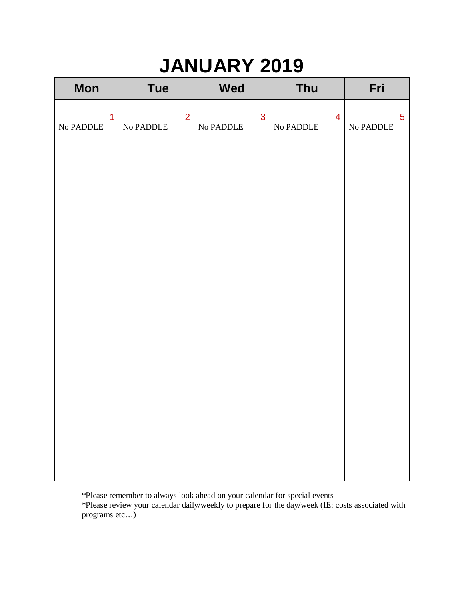| <b>Mon</b>                         | <b>Tue</b>                         | Wed                              | Thu                                | Fri                                                 |
|------------------------------------|------------------------------------|----------------------------------|------------------------------------|-----------------------------------------------------|
| $\overline{1}$<br>$\rm No\ PADDLE$ | $\overline{2}$<br>$\rm No\ PADDLE$ | $\mathbf{3}$<br>$\rm No\ PADDLE$ | $\overline{4}$<br>$\rm No\ PADDLE$ | $\overline{5}$<br>No $\ensuremath{\mathsf{PADDLE}}$ |
|                                    |                                    |                                  |                                    |                                                     |
|                                    |                                    |                                  |                                    |                                                     |
|                                    |                                    |                                  |                                    |                                                     |
|                                    |                                    |                                  |                                    |                                                     |
|                                    |                                    |                                  |                                    |                                                     |
|                                    |                                    |                                  |                                    |                                                     |
|                                    |                                    |                                  |                                    |                                                     |

\*Please remember to always look ahead on your calendar for special events

\*Please review your calendar daily/weekly to prepare for the day/week (IE: costs associated with programs etc…)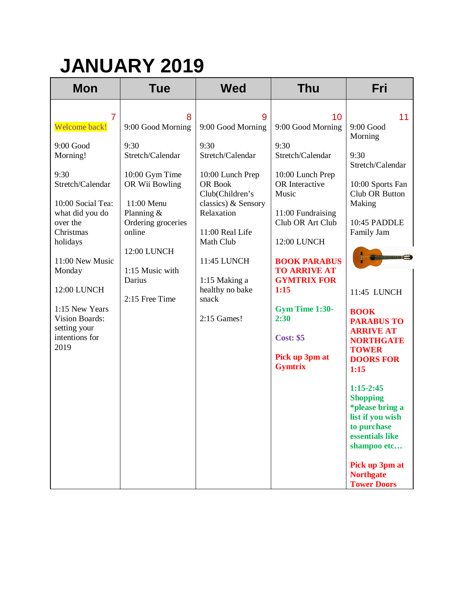| <b>Tue</b>                                                                                                       | <b>Wed</b>                                                                                                      | <b>Thu</b>                                                                                                       | Fri                                                                                                                                                                         |
|------------------------------------------------------------------------------------------------------------------|-----------------------------------------------------------------------------------------------------------------|------------------------------------------------------------------------------------------------------------------|-----------------------------------------------------------------------------------------------------------------------------------------------------------------------------|
| 8<br>9:00 Good Morning                                                                                           | 9<br>9:00 Good Morning                                                                                          | 10 <sup>°</sup><br>9:00 Good Morning                                                                             | 11<br>9:00 Good<br>Morning                                                                                                                                                  |
| 9:30<br>Stretch/Calendar<br>10:00 Gym Time<br>OR Wii Bowling<br>11:00 Menu<br>Planning $&$<br>Ordering groceries | 9:30<br>Stretch/Calendar<br>10:00 Lunch Prep<br>OR Book<br>Club(Children's<br>classics) & Sensory<br>Relaxation | 9:30<br>Stretch/Calendar<br>10:00 Lunch Prep<br>OR Interactive<br>Music<br>11:00 Fundraising<br>Club OR Art Club | 9:30<br>Stretch/Calendar<br>10:00 Sports Fan<br>Club OR Button<br>Making<br>10:45 PADDLE<br>Family Jam                                                                      |
| 12:00 LUNCH<br>1:15 Music with<br>Darius                                                                         | Math Club<br>11:45 LUNCH<br>1:15 Making a<br>healthy no bake                                                    | 12:00 LUNCH<br><b>BOOK PARABUS</b><br><b>TO ARRIVE AT</b><br><b>GYMTRIX FOR</b><br>1:15                          | Commitment Co<br>11:45 LUNCH                                                                                                                                                |
|                                                                                                                  | 2:15 Games!                                                                                                     | Gym Time 1:30-<br>2:30<br><b>Cost: \$5</b><br>Pick up 3pm at                                                     | <b>BOOK</b><br><b>PARABUS TO</b><br><b>ARRIVE AT</b><br><b>NORTHGATE</b><br><b>TOWER</b><br><b>DOORS FOR</b>                                                                |
|                                                                                                                  |                                                                                                                 |                                                                                                                  | 1:15<br>$1:15-2:45$<br><b>Shopping</b><br><i>*please bring a</i><br>list if you wish<br>to purchase<br>essentials like<br>shampoo etc<br>Pick up 3pm at<br><b>Northgate</b> |
|                                                                                                                  | online<br>2:15 Free Time                                                                                        | 11:00 Real Life<br>snack                                                                                         | <b>Gymtrix</b>                                                                                                                                                              |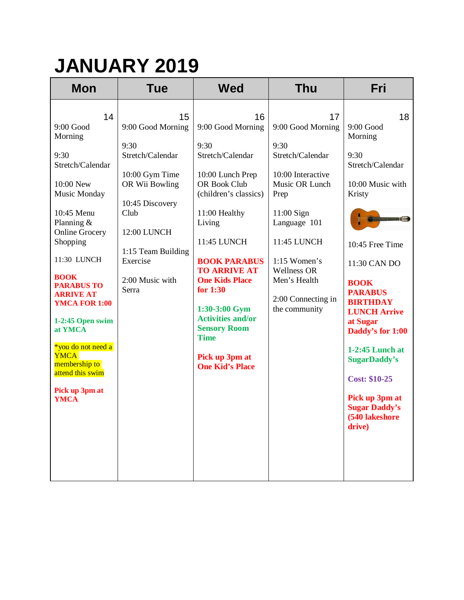| <b>Mon</b>                                                                                                                                                                                                                                                                                                                                                                                      | <b>Tue</b>                                                                                                                                                                                      | <b>Wed</b>                                                                                                                                                                                                                                                                                                                                                                          | <b>Thu</b>                                                                                                                                                                                                                                     | Fri                                                                                                                                                                                                                                                                                                                                                                                                                                 |
|-------------------------------------------------------------------------------------------------------------------------------------------------------------------------------------------------------------------------------------------------------------------------------------------------------------------------------------------------------------------------------------------------|-------------------------------------------------------------------------------------------------------------------------------------------------------------------------------------------------|-------------------------------------------------------------------------------------------------------------------------------------------------------------------------------------------------------------------------------------------------------------------------------------------------------------------------------------------------------------------------------------|------------------------------------------------------------------------------------------------------------------------------------------------------------------------------------------------------------------------------------------------|-------------------------------------------------------------------------------------------------------------------------------------------------------------------------------------------------------------------------------------------------------------------------------------------------------------------------------------------------------------------------------------------------------------------------------------|
| 14<br>9:00 Good<br>Morning<br>9:30<br>Stretch/Calendar<br>10:00 New<br>Music Monday<br>10:45 Menu<br>Planning $&$<br><b>Online Grocery</b><br>Shopping<br>11:30 LUNCH<br><b>BOOK</b><br><b>PARABUS TO</b><br><b>ARRIVE AT</b><br><b>YMCA FOR 1:00</b><br>1-2:45 Open swim<br>at YMCA<br>*you do not need a<br><b>YMCA</b><br>membership to<br>attend this swim<br>Pick up 3pm at<br><b>YMCA</b> | 15<br>9:00 Good Morning<br>9:30<br>Stretch/Calendar<br>10:00 Gym Time<br>OR Wii Bowling<br>10:45 Discovery<br>Club<br>12:00 LUNCH<br>1:15 Team Building<br>Exercise<br>2:00 Music with<br>Serra | 16<br>9:00 Good Morning<br>9:30<br>Stretch/Calendar<br>10:00 Lunch Prep<br><b>OR Book Club</b><br>(children's classics)<br>11:00 Healthy<br>Living<br>11:45 LUNCH<br><b>BOOK PARABUS</b><br><b>TO ARRIVE AT</b><br><b>One Kids Place</b><br>for 1:30<br>1:30-3:00 Gym<br><b>Activities and/or</b><br><b>Sensory Room</b><br><b>Time</b><br>Pick up 3pm at<br><b>One Kid's Place</b> | 17<br>9:00 Good Morning<br>9:30<br>Stretch/Calendar<br>10:00 Interactive<br>Music OR Lunch<br>Prep<br>11:00 Sign<br>Language 101<br>11:45 LUNCH<br>$1:15$ Women's<br><b>Wellness OR</b><br>Men's Health<br>2:00 Connecting in<br>the community | 18<br>9:00 Good<br>Morning<br>9:30<br>Stretch/Calendar<br>10:00 Music with<br>Kristy<br><b>Similare and State of Contract of The Oriental</b><br>10:45 Free Time<br>11:30 CAN DO<br><b>BOOK</b><br><b>PARABUS</b><br><b>BIRTHDAY</b><br><b>LUNCH Arrive</b><br>at Sugar<br>Daddy's for 1:00<br>1-2:45 Lunch at<br><b>SugarDaddy's</b><br><b>Cost: \$10-25</b><br>Pick up 3pm at<br><b>Sugar Daddy's</b><br>(540 lakeshore<br>drive) |
|                                                                                                                                                                                                                                                                                                                                                                                                 |                                                                                                                                                                                                 |                                                                                                                                                                                                                                                                                                                                                                                     |                                                                                                                                                                                                                                                |                                                                                                                                                                                                                                                                                                                                                                                                                                     |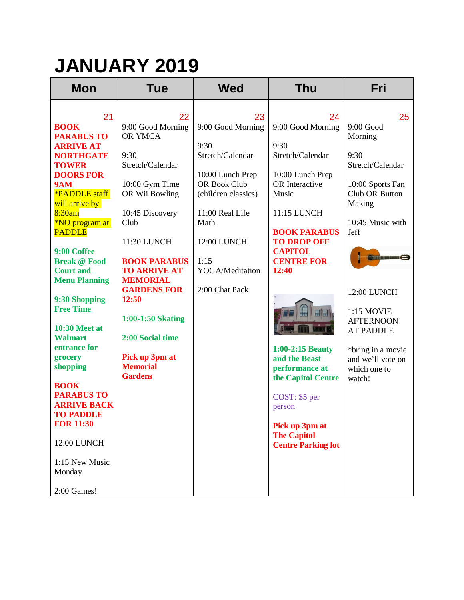| <b>Mon</b>                                                                                                                                                                                                                                                                                                                                                                                                                                                                                                    | <b>Tue</b>                                                                                                                                                                                                                                                                                                                                   | <b>Wed</b>                                                                                                                                                                                                   | <b>Thu</b>                                                                                                                                                                                                                                                                                                                        | Fri                                                                                                                                                                                                                                                                                                            |
|---------------------------------------------------------------------------------------------------------------------------------------------------------------------------------------------------------------------------------------------------------------------------------------------------------------------------------------------------------------------------------------------------------------------------------------------------------------------------------------------------------------|----------------------------------------------------------------------------------------------------------------------------------------------------------------------------------------------------------------------------------------------------------------------------------------------------------------------------------------------|--------------------------------------------------------------------------------------------------------------------------------------------------------------------------------------------------------------|-----------------------------------------------------------------------------------------------------------------------------------------------------------------------------------------------------------------------------------------------------------------------------------------------------------------------------------|----------------------------------------------------------------------------------------------------------------------------------------------------------------------------------------------------------------------------------------------------------------------------------------------------------------|
| 21<br><b>BOOK</b><br><b>PARABUS TO</b><br><b>ARRIVE AT</b><br><b>NORTHGATE</b><br><b>TOWER</b><br><b>DOORS FOR</b><br><b>9AM</b><br><b>*PADDLE</b> staff<br>will arrive by<br>8:30am<br>*NO program at<br><b>PADDLE</b><br>9:00 Coffee<br><b>Break @ Food</b><br><b>Court and</b><br><b>Menu Planning</b><br>9:30 Shopping<br><b>Free Time</b><br><b>10:30 Meet at</b><br><b>Walmart</b><br>entrance for<br>grocery<br>shopping<br><b>BOOK</b><br><b>PARABUS TO</b><br><b>ARRIVE BACK</b><br><b>TO PADDLE</b> | 22<br>9:00 Good Morning<br>OR YMCA<br>9:30<br>Stretch/Calendar<br>10:00 Gym Time<br>OR Wii Bowling<br>10:45 Discovery<br>Club<br>11:30 LUNCH<br><b>BOOK PARABUS</b><br><b>TO ARRIVE AT</b><br><b>MEMORIAL</b><br><b>GARDENS FOR</b><br>12:50<br>1:00-1:50 Skating<br>2:00 Social time<br>Pick up 3pm at<br><b>Memorial</b><br><b>Gardens</b> | 23<br>9:00 Good Morning<br>9:30<br>Stretch/Calendar<br>10:00 Lunch Prep<br><b>OR Book Club</b><br>(children classics)<br>11:00 Real Life<br>Math<br>12:00 LUNCH<br>1:15<br>YOGA/Meditation<br>2:00 Chat Pack | 24<br>9:00 Good Morning<br>9:30<br>Stretch/Calendar<br>10:00 Lunch Prep<br>OR Interactive<br>Music<br>11:15 LUNCH<br><b>BOOK PARABUS</b><br><b>TO DROP OFF</b><br><b>CAPITOL</b><br><b>CENTRE FOR</b><br>12:40<br>H<br>田園<br>1:00-2:15 Beauty<br>and the Beast<br>performance at<br>the Capitol Centre<br>COST: \$5 per<br>person | 25<br>$9:00$ Good<br>Morning<br>9:30<br>Stretch/Calendar<br>10:00 Sports Fan<br>Club OR Button<br>Making<br>10:45 Music with<br>Jeff<br><b>Seminances and Service</b><br>12:00 LUNCH<br>1:15 MOVIE<br><b>AFTERNOON</b><br><b>AT PADDLE</b><br>*bring in a movie<br>and we'll vote on<br>which one to<br>watch! |
|                                                                                                                                                                                                                                                                                                                                                                                                                                                                                                               |                                                                                                                                                                                                                                                                                                                                              |                                                                                                                                                                                                              |                                                                                                                                                                                                                                                                                                                                   |                                                                                                                                                                                                                                                                                                                |
| <b>FOR 11:30</b><br>12:00 LUNCH<br>1:15 New Music<br>Monday                                                                                                                                                                                                                                                                                                                                                                                                                                                   |                                                                                                                                                                                                                                                                                                                                              |                                                                                                                                                                                                              | Pick up 3pm at<br><b>The Capitol</b><br><b>Centre Parking lot</b>                                                                                                                                                                                                                                                                 |                                                                                                                                                                                                                                                                                                                |
| 2:00 Games!                                                                                                                                                                                                                                                                                                                                                                                                                                                                                                   |                                                                                                                                                                                                                                                                                                                                              |                                                                                                                                                                                                              |                                                                                                                                                                                                                                                                                                                                   |                                                                                                                                                                                                                                                                                                                |